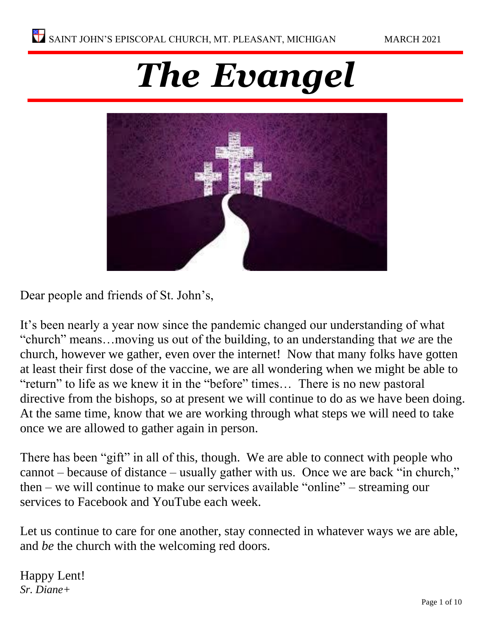# *The Evangel*



Dear people and friends of St. John's,

It's been nearly a year now since the pandemic changed our understanding of what "church" means…moving us out of the building, to an understanding that *we* are the church, however we gather, even over the internet! Now that many folks have gotten at least their first dose of the vaccine, we are all wondering when we might be able to "return" to life as we knew it in the "before" times… There is no new pastoral directive from the bishops, so at present we will continue to do as we have been doing. At the same time, know that we are working through what steps we will need to take once we are allowed to gather again in person.

There has been "gift" in all of this, though. We are able to connect with people who cannot – because of distance – usually gather with us. Once we are back "in church," then – we will continue to make our services available "online" – streaming our services to Facebook and YouTube each week.

Let us continue to care for one another, stay connected in whatever ways we are able, and *be* the church with the welcoming red doors.

Happy Lent! *Sr. Diane+*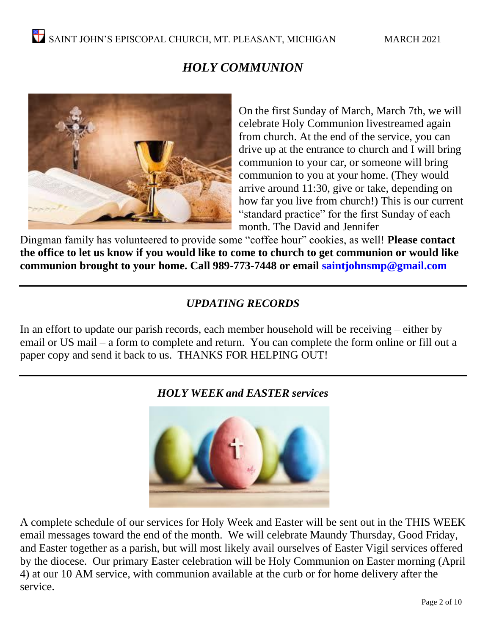# *HOLY COMMUNION*



On the first Sunday of March, March 7th, we will celebrate Holy Communion livestreamed again from church. At the end of the service, you can drive up at the entrance to church and I will bring communion to your car, or someone will bring communion to you at your home. (They would arrive around 11:30, give or take, depending on how far you live from church!) This is our current "standard practice" for the first Sunday of each month. The David and Jennifer

Dingman family has volunteered to provide some "coffee hour" cookies, as well! **Please contact the office to let us know if you would like to come to church to get communion or would like communion brought to your home. Call 989-773-7448 or email saintjohnsmp@gmail.com** 

# *UPDATING RECORDS*

In an effort to update our parish records, each member household will be receiving – either by email or US mail – a form to complete and return. You can complete the form online or fill out a paper copy and send it back to us. THANKS FOR HELPING OUT!



# *HOLY WEEK and EASTER services*

A complete schedule of our services for Holy Week and Easter will be sent out in the THIS WEEK email messages toward the end of the month. We will celebrate Maundy Thursday, Good Friday, and Easter together as a parish, but will most likely avail ourselves of Easter Vigil services offered by the diocese. Our primary Easter celebration will be Holy Communion on Easter morning (April 4) at our 10 AM service, with communion available at the curb or for home delivery after the service.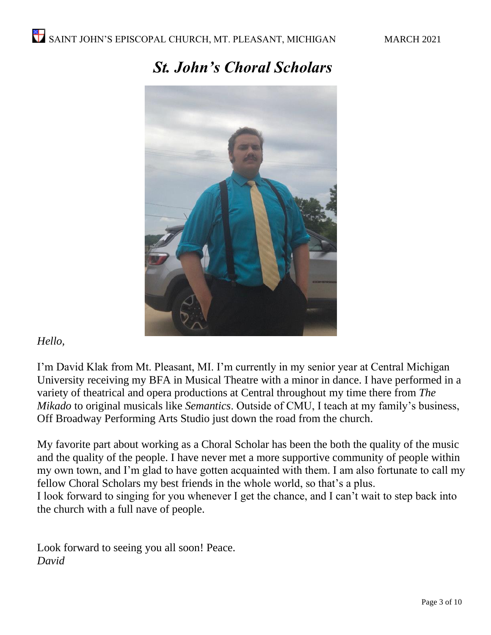

# *St. John's Choral Scholars*

# *Hello,*

I'm David Klak from Mt. Pleasant, MI. I'm currently in my senior year at Central Michigan University receiving my BFA in Musical Theatre with a minor in dance. I have performed in a variety of theatrical and opera productions at Central throughout my time there from *The Mikado* to original musicals like *Semantics*. Outside of CMU, I teach at my family's business, Off Broadway Performing Arts Studio just down the road from the church.

My favorite part about working as a Choral Scholar has been the both the quality of the music and the quality of the people. I have never met a more supportive community of people within my own town, and I'm glad to have gotten acquainted with them. I am also fortunate to call my fellow Choral Scholars my best friends in the whole world, so that's a plus. I look forward to singing for you whenever I get the chance, and I can't wait to step back into the church with a full nave of people.

Look forward to seeing you all soon! Peace. *David*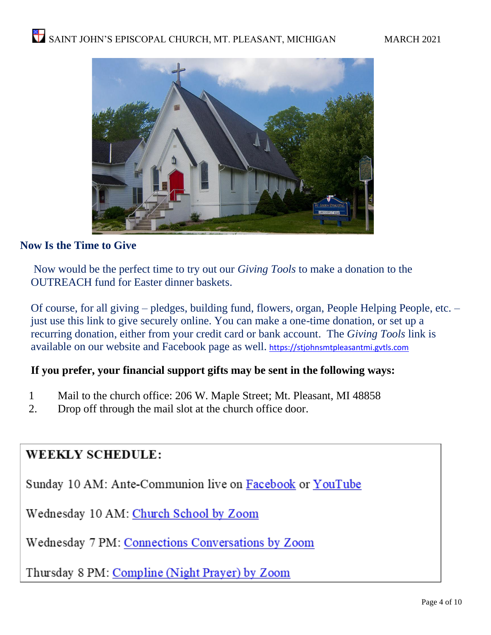

# **Now Is the Time to Give**

Now would be the perfect time to try out our *Giving Tools* to make a donation to the OUTREACH fund for Easter dinner baskets.

Of course, for all giving – pledges, building fund, flowers, organ, People Helping People, etc. – just use this link to give securely online. You can make a one-time donation, or set up a recurring donation, either from your credit card or bank account. The *Giving Tools* link is available on our website and Facebook page as well. [https://stjohnsmtpleasantmi.gvtls.com](https://stjohnsmtpleasantmi.gvtls.com/)

# **If you prefer, your financial support gifts may be sent in the following ways:**

- 1 Mail to the church office: 206 W. Maple Street; Mt. Pleasant, MI 48858
- 2. Drop off through the mail slot at the church office door.

# **WEEKLY SCHEDULE:**

Sunday 10 AM: Ante-Communion live on Facebook or YouTube

Wednesday 10 AM: Church School by Zoom

Wednesday 7 PM: Connections Conversations by Zoom

Thursday 8 PM: Compline (Night Prayer) by Zoom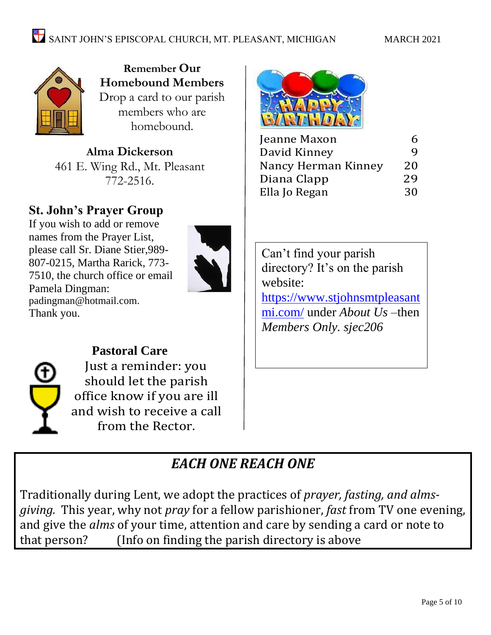

**Remember Our Homebound Members**  Drop a card to our parish members who are homebound.

**Alma Dickerson** 461 E. Wing Rd., Mt. Pleasant 772-2516.

# **St. John's Prayer Group**

If you wish to add or remove names from the Prayer List, please call Sr. Diane Stier,989- 807-0215, Martha Rarick, 773- 7510, the church office or email Pamela Dingman: [padingman@hotmail.com.](mailto:padingman@hotmail.com) Thank you.





**Pastoral Care** Just a reminder: you should let the parish office know if you are ill and wish to receive a call from the Rector.



| Jeanne Maxon        | h  |
|---------------------|----|
| David Kinney        | q  |
| Nancy Herman Kinney | 20 |
| Diana Clapp         | 29 |
| Ella Jo Regan       | 30 |

Can't find your parish directory? It's on the parish website: [https://www.stjohnsmtpleasant](https://www.stjohnsmtpleasantmi.com/) [mi.com/](https://www.stjohnsmtpleasantmi.com/) under *About Us –*then *Members Only. sjec206*

# *EACH ONE REACH ONE*

Traditionally during Lent, we adopt the practices of *prayer, fasting, and almsgiving.* This year, why not *pray* for a fellow parishioner, *fast* from TV one evening, and give the *alms* of your time, attention and care by sending a card or note to that person? (Info on finding the parish directory is above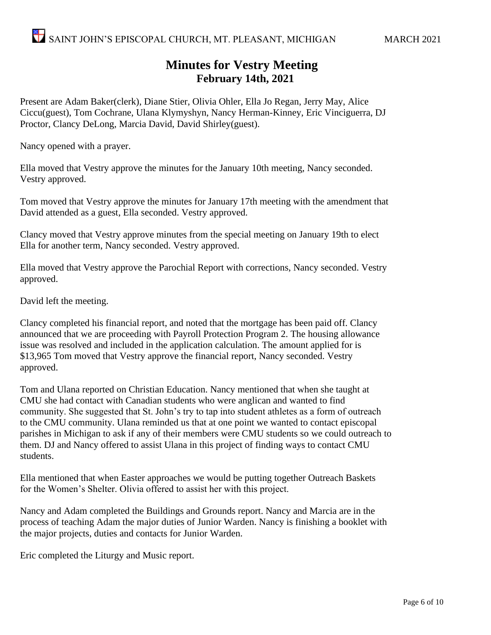# **Minutes for Vestry Meeting February 14th, 2021**

Present are Adam Baker(clerk), Diane Stier, Olivia Ohler, Ella Jo Regan, Jerry May, Alice Ciccu(guest), Tom Cochrane, Ulana Klymyshyn, Nancy Herman-Kinney, Eric Vinciguerra, DJ Proctor, Clancy DeLong, Marcia David, David Shirley(guest).

Nancy opened with a prayer.

Ella moved that Vestry approve the minutes for the January 10th meeting, Nancy seconded. Vestry approved.

Tom moved that Vestry approve the minutes for January 17th meeting with the amendment that David attended as a guest, Ella seconded. Vestry approved.

Clancy moved that Vestry approve minutes from the special meeting on January 19th to elect Ella for another term, Nancy seconded. Vestry approved.

Ella moved that Vestry approve the Parochial Report with corrections, Nancy seconded. Vestry approved.

David left the meeting.

Clancy completed his financial report, and noted that the mortgage has been paid off. Clancy announced that we are proceeding with Payroll Protection Program 2. The housing allowance issue was resolved and included in the application calculation. The amount applied for is \$13,965 Tom moved that Vestry approve the financial report, Nancy seconded. Vestry approved.

Tom and Ulana reported on Christian Education. Nancy mentioned that when she taught at CMU she had contact with Canadian students who were anglican and wanted to find community. She suggested that St. John's try to tap into student athletes as a form of outreach to the CMU community. Ulana reminded us that at one point we wanted to contact episcopal parishes in Michigan to ask if any of their members were CMU students so we could outreach to them. DJ and Nancy offered to assist Ulana in this project of finding ways to contact CMU students.

Ella mentioned that when Easter approaches we would be putting together Outreach Baskets for the Women's Shelter. Olivia offered to assist her with this project.

Nancy and Adam completed the Buildings and Grounds report. Nancy and Marcia are in the process of teaching Adam the major duties of Junior Warden. Nancy is finishing a booklet with the major projects, duties and contacts for Junior Warden.

Eric completed the Liturgy and Music report.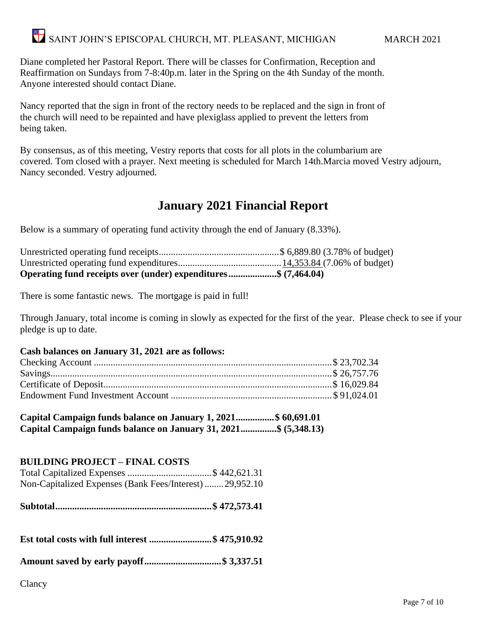Diane completed her Pastoral Report. There will be classes for Confirmation, Reception and Reaffirmation on Sundays from 7-8:40p.m. later in the Spring on the 4th Sunday of the month. Anyone interested should contact Diane.

Nancy reported that the sign in front of the rectory needs to be replaced and the sign in front of the church will need to be repainted and have plexiglass applied to prevent the letters from being taken.

By consensus, as of this meeting, Vestry reports that costs for all plots in the columbarium are covered. Tom closed with a prayer. Next meeting is scheduled for March 14th.Marcia moved Vestry adjourn, Nancy seconded. Vestry adjourned.

# **January 2021 Financial Report**

Below is a summary of operating fund activity through the end of January (8.33%).

| Operating fund receipts over (under) expenditures\$ (7,464.04) |  |
|----------------------------------------------------------------|--|

There is some fantastic news. The mortgage is paid in full!

Through January, total income is coming in slowly as expected for the first of the year. Please check to see if your pledge is up to date.

#### **Cash balances on January 31, 2021 are as follows:**

**Capital Campaign funds balance on January 1, 2021................\$ 60,691.01 Capital Campaign funds balance on January 31, 2021...............\$ (5,348.13)**

## **BUILDING PROJECT – FINAL COSTS**

|  | Non-Capitalized Expenses (Bank Fees/Interest)29,952.10 |
|--|--------------------------------------------------------|

**Subtotal.................................................................\$ 472,573.41**

**Est total costs with full interest ..........................\$ 475,910.92**

**Amount saved by early payoff................................\$ 3,337.51**

Clancy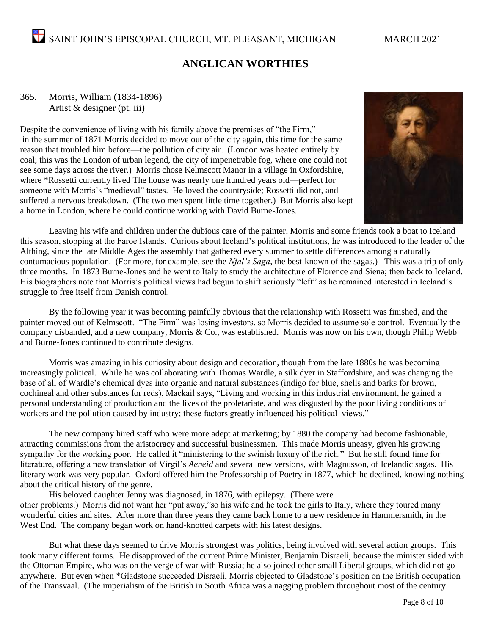# **ANGLICAN WORTHIES**

#### 365. Morris, William (1834-1896) Artist & designer (pt. iii)

Despite the convenience of living with his family above the premises of "the Firm," in the summer of 1871 Morris decided to move out of the city again, this time for the same reason that troubled him before—the pollution of city air. (London was heated entirely by coal; this was the London of urban legend, the city of impenetrable fog, where one could not see some days across the river.) Morris chose Kelmscott Manor in a village in Oxfordshire, where \*Rossetti currently lived The house was nearly one hundred years old—perfect for someone with Morris's "medieval" tastes. He loved the countryside; Rossetti did not, and suffered a nervous breakdown. (The two men spent little time together.) But Morris also kept a home in London, where he could continue working with David Burne-Jones.



Leaving his wife and children under the dubious care of the painter, Morris and some friends took a boat to Iceland this season, stopping at the Faroe Islands. Curious about Iceland's political institutions, he was introduced to the leader of the Althing, since the late Middle Ages the assembly that gathered every summer to settle differences among a naturally contumacious population. (For more, for example, see the *Njal's Saga*, the best-known of the sagas.) This was a trip of only three months. In 1873 Burne-Jones and he went to Italy to study the architecture of Florence and Siena; then back to Iceland. His biographers note that Morris's political views had begun to shift seriously "left" as he remained interested in Iceland's struggle to free itself from Danish control.

By the following year it was becoming painfully obvious that the relationship with Rossetti was finished, and the painter moved out of Kelmscott. "The Firm" was losing investors, so Morris decided to assume sole control. Eventually the company disbanded, and a new company, Morris & Co., was established. Morris was now on his own, though Philip Webb and Burne-Jones continued to contribute designs.

Morris was amazing in his curiosity about design and decoration, though from the late 1880s he was becoming increasingly political. While he was collaborating with Thomas Wardle, a silk dyer in Staffordshire, and was changing the base of all of Wardle's chemical dyes into organic and natural substances (indigo for blue, shells and barks for brown, cochineal and other substances for reds), Mackail says, "Living and working in this industrial environment, he gained a personal understanding of production and the lives of the proletariate, and was disgusted by the poor living conditions of workers and the pollution caused by industry; these factors greatly influenced his political views."

The new company hired staff who were more adept at marketing; by 1880 the company had become fashionable, attracting commissions from the aristocracy and successful businessmen. This made Morris uneasy, given his growing sympathy for the working poor. He called it "ministering to the swinish luxury of the rich." But he still found time for literature, offering a new translation of Virgil's *Aeneid* and several new versions, with Magnusson, of Icelandic sagas. His literary work was very popular. Oxford offered him the Professorship of Poetry in 1877, which he declined, knowing nothing about the critical history of the genre.

His beloved daughter Jenny was diagnosed, in 1876, with epilepsy. (There were other problems.) Morris did not want her "put away,"so his wife and he took the girls to Italy, where they toured many wonderful cities and sites. After more than three years they came back home to a new residence in Hammersmith, in the West End. The company began work on hand-knotted carpets with his latest designs.

But what these days seemed to drive Morris strongest was politics, being involved with several action groups. This took many different forms. He disapproved of the current Prime Minister, Benjamin Disraeli, because the minister sided with the Ottoman Empire, who was on the verge of war with Russia; he also joined other small Liberal groups, which did not go anywhere. But even when \*Gladstone succeeded Disraeli, Morris objected to Gladstone's position on the British occupation of the Transvaal. (The imperialism of the British in South Africa was a nagging problem throughout most of the century.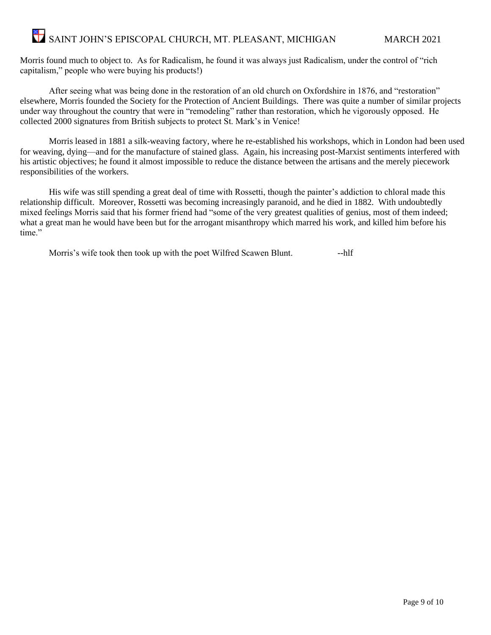Morris found much to object to. As for Radicalism, he found it was always just Radicalism, under the control of "rich capitalism," people who were buying his products!)

After seeing what was being done in the restoration of an old church on Oxfordshire in 1876, and "restoration" elsewhere, Morris founded the Society for the Protection of Ancient Buildings. There was quite a number of similar projects under way throughout the country that were in "remodeling" rather than restoration, which he vigorously opposed. He collected 2000 signatures from British subjects to protect St. Mark's in Venice!

Morris leased in 1881 a silk-weaving factory, where he re-established his workshops, which in London had been used for weaving, dying—and for the manufacture of stained glass. Again, his increasing post-Marxist sentiments interfered with his artistic objectives; he found it almost impossible to reduce the distance between the artisans and the merely piecework responsibilities of the workers.

His wife was still spending a great deal of time with Rossetti, though the painter's addiction to chloral made this relationship difficult. Moreover, Rossetti was becoming increasingly paranoid, and he died in 1882. With undoubtedly mixed feelings Morris said that his former friend had "some of the very greatest qualities of genius, most of them indeed; what a great man he would have been but for the arrogant misanthropy which marred his work, and killed him before his time."

Morris's wife took then took up with the poet Wilfred Scawen Blunt.  $\qquad -h$ lf